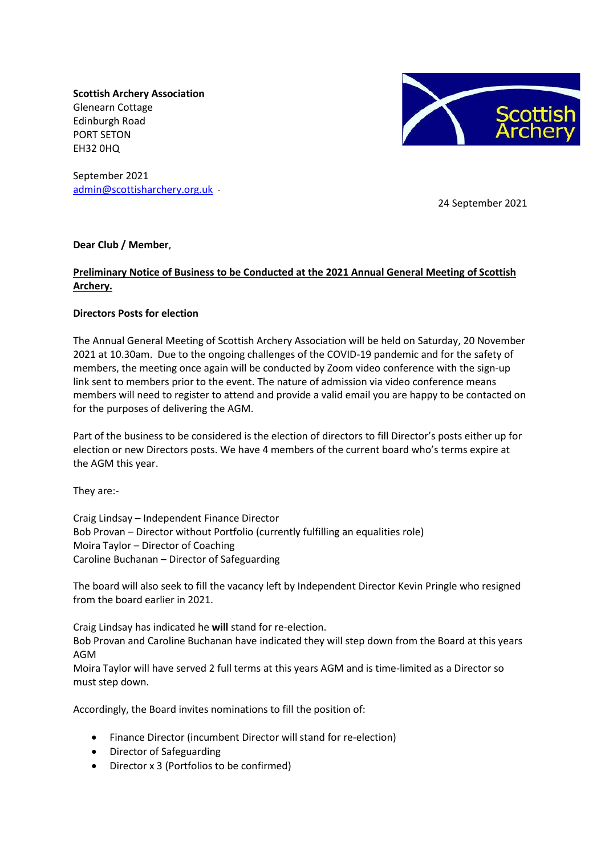**Scottish Archery Association** Glenearn Cottage Edinburgh Road PORT SETON EH32 0HQ

September 2021 [admin@scottisharchery.org.uk](mailto:admin@scottisharchery.org.uk)



24 September 2021

# **Dear Club / Member**,

# **Preliminary Notice of Business to be Conducted at the 2021 Annual General Meeting of Scottish Archery.**

# **Directors Posts for election**

The Annual General Meeting of Scottish Archery Association will be held on Saturday, 20 November 2021 at 10.30am. Due to the ongoing challenges of the COVID-19 pandemic and for the safety of members, the meeting once again will be conducted by Zoom video conference with the sign-up link sent to members prior to the event. The nature of admission via video conference means members will need to register to attend and provide a valid email you are happy to be contacted on for the purposes of delivering the AGM.

Part of the business to be considered is the election of directors to fill Director's posts either up for election or new Directors posts. We have 4 members of the current board who's terms expire at the AGM this year.

They are:-

Craig Lindsay – Independent Finance Director Bob Provan – Director without Portfolio (currently fulfilling an equalities role) Moira Taylor – Director of Coaching Caroline Buchanan – Director of Safeguarding

The board will also seek to fill the vacancy left by Independent Director Kevin Pringle who resigned from the board earlier in 2021.

Craig Lindsay has indicated he **will** stand for re-election.

Bob Provan and Caroline Buchanan have indicated they will step down from the Board at this years AGM

Moira Taylor will have served 2 full terms at this years AGM and is time-limited as a Director so must step down.

Accordingly, the Board invites nominations to fill the position of:

- Finance Director (incumbent Director will stand for re-election)
- Director of Safeguarding
- Director x 3 (Portfolios to be confirmed)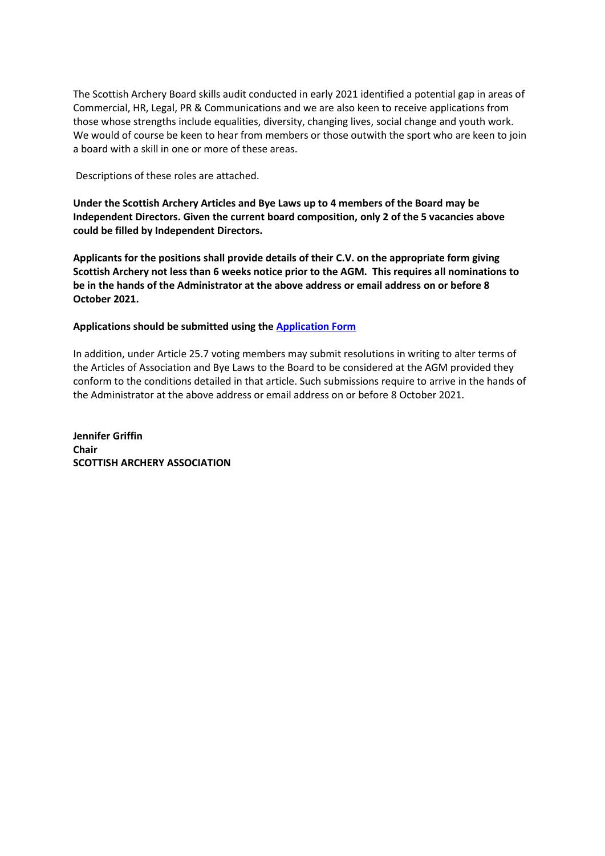The Scottish Archery Board skills audit conducted in early 2021 identified a potential gap in areas of Commercial, HR, Legal, PR & Communications and we are also keen to receive applications from those whose strengths include equalities, diversity, changing lives, social change and youth work. We would of course be keen to hear from members or those outwith the sport who are keen to join a board with a skill in one or more of these areas.

Descriptions of these roles are attached.

**Under the Scottish Archery Articles and Bye Laws up to 4 members of the Board may be Independent Directors. Given the current board composition, only 2 of the 5 vacancies above could be filled by Independent Directors.**

**Applicants for the positions shall provide details of their C.V. on the appropriate form giving Scottish Archery not less than 6 weeks notice prior to the AGM. This requires all nominations to be in the hands of the Administrator at the above address or email address on or before 8 October 2021.** 

# **Applications should be submitted using the [Application Form](https://form.jotform.com/ScottishArchery/board2021)**

In addition, under Article 25.7 voting members may submit resolutions in writing to alter terms of the Articles of Association and Bye Laws to the Board to be considered at the AGM provided they conform to the conditions detailed in that article. Such submissions require to arrive in the hands of the Administrator at the above address or email address on or before 8 October 2021.

**Jennifer Griffin Chair SCOTTISH ARCHERY ASSOCIATION**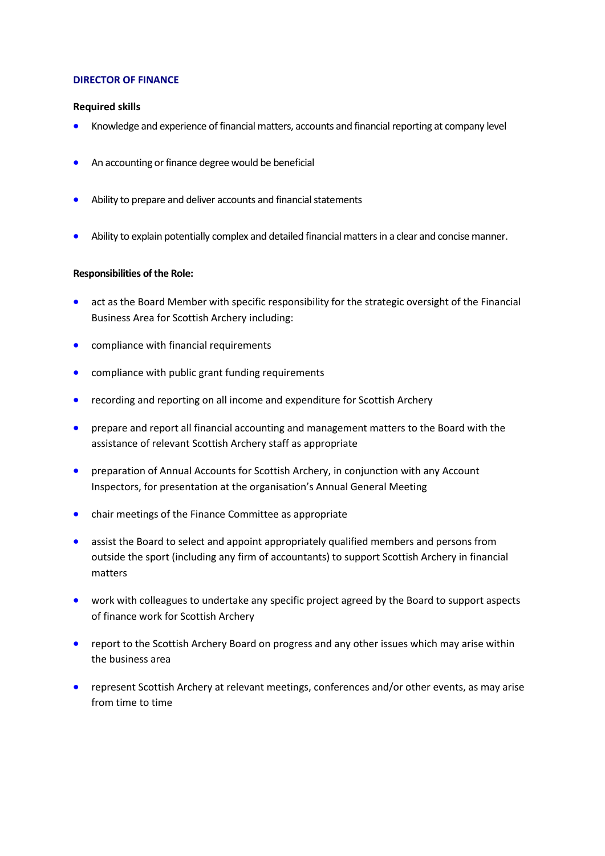### **DIRECTOR OF FINANCE**

### **Required skills**

- Knowledge and experience of financial matters, accounts and financial reporting at company level
- An accounting or finance degree would be beneficial
- Ability to prepare and deliver accounts and financial statements
- Ability to explain potentially complex and detailed financial matters in a clear and concise manner.

## **Responsibilities of the Role:**

- act as the Board Member with specific responsibility for the strategic oversight of the Financial Business Area for Scottish Archery including:
- compliance with financial requirements
- compliance with public grant funding requirements
- recording and reporting on all income and expenditure for Scottish Archery
- prepare and report all financial accounting and management matters to the Board with the assistance of relevant Scottish Archery staff as appropriate
- preparation of Annual Accounts for Scottish Archery, in conjunction with any Account Inspectors, for presentation at the organisation's Annual General Meeting
- chair meetings of the Finance Committee as appropriate
- assist the Board to select and appoint appropriately qualified members and persons from outside the sport (including any firm of accountants) to support Scottish Archery in financial matters
- work with colleagues to undertake any specific project agreed by the Board to support aspects of finance work for Scottish Archery
- report to the Scottish Archery Board on progress and any other issues which may arise within the business area
- represent Scottish Archery at relevant meetings, conferences and/or other events, as may arise from time to time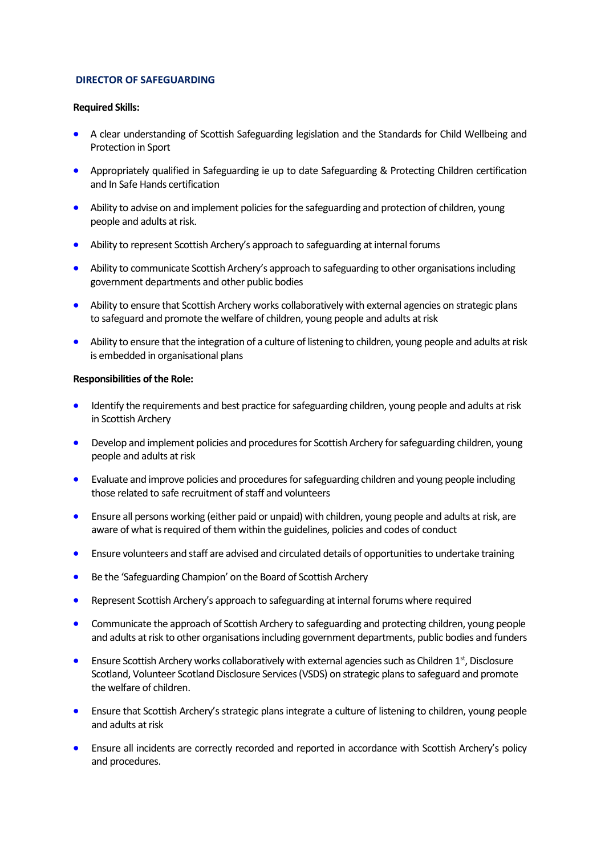### **DIRECTOR OF SAFEGUARDING**

#### **Required Skills:**

- A clear understanding of Scottish Safeguarding legislation and the Standards for Child Wellbeing and Protection in Sport
- Appropriately qualified in Safeguarding ie up to date Safeguarding & Protecting Children certification and In Safe Hands certification
- Ability to advise on and implement policies for the safeguarding and protection of children, young people and adults at risk.
- Ability to represent Scottish Archery's approach to safeguarding at internal forums
- Ability to communicate Scottish Archery's approach to safeguarding to other organisations including government departments and other public bodies
- Ability to ensure that Scottish Archery works collaboratively with external agencies on strategic plans to safeguard and promote the welfare of children, young people and adults at risk
- Ability to ensure that the integration of a culture of listening to children, young people and adults at risk is embedded in organisational plans

### **Responsibilities of the Role:**

- Identify the requirements and best practice for safeguarding children, young people and adults at risk in Scottish Archery
- Develop and implement policies and procedures for Scottish Archery for safeguarding children, young people and adults at risk
- Evaluate and improve policies and procedures for safeguarding children and young people including those related to safe recruitment of staff and volunteers
- Ensure all persons working (either paid or unpaid) with children, young people and adults at risk, are aware of what is required of them within the guidelines, policies and codes of conduct
- Ensure volunteers and staff are advised and circulated details of opportunities to undertake training
- Be the 'Safeguarding Champion' on the Board of Scottish Archery
- Represent Scottish Archery's approach to safeguarding at internal forums where required
- Communicate the approach of Scottish Archery to safeguarding and protecting children, young people and adults at risk to other organisations including government departments, public bodies and funders
- **•** Ensure Scottish Archery works collaboratively with external agencies such as Children  $1<sup>st</sup>$ , Disclosure Scotland, Volunteer Scotland Disclosure Services (VSDS) on strategic plans to safeguard and promote the welfare of children.
- Ensure that Scottish Archery's strategic plans integrate a culture of listening to children, young people and adults at risk
- Ensure all incidents are correctly recorded and reported in accordance with Scottish Archery's policy and procedures.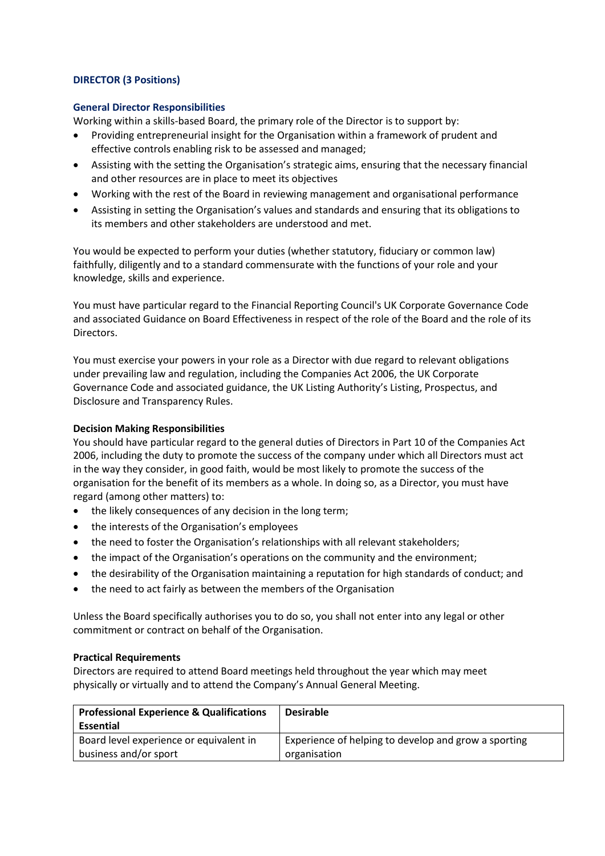## **DIRECTOR (3 Positions)**

## **General Director Responsibilities**

Working within a skills-based Board, the primary role of the Director is to support by:

- Providing entrepreneurial insight for the Organisation within a framework of prudent and effective controls enabling risk to be assessed and managed;
- Assisting with the setting the Organisation's strategic aims, ensuring that the necessary financial and other resources are in place to meet its objectives
- Working with the rest of the Board in reviewing management and organisational performance
- Assisting in setting the Organisation's values and standards and ensuring that its obligations to its members and other stakeholders are understood and met.

You would be expected to perform your duties (whether statutory, fiduciary or common law) faithfully, diligently and to a standard commensurate with the functions of your role and your knowledge, skills and experience.

You must have particular regard to the Financial Reporting Council's UK Corporate Governance Code and associated Guidance on Board Effectiveness in respect of the role of the Board and the role of its Directors.

You must exercise your powers in your role as a Director with due regard to relevant obligations under prevailing law and regulation, including the Companies Act 2006, the UK Corporate Governance Code and associated guidance, the UK Listing Authority's Listing, Prospectus, and Disclosure and Transparency Rules.

#### **Decision Making Responsibilities**

You should have particular regard to the general duties of Directors in Part 10 of the Companies Act 2006, including the duty to promote the success of the company under which all Directors must act in the way they consider, in good faith, would be most likely to promote the success of the organisation for the benefit of its members as a whole. In doing so, as a Director, you must have regard (among other matters) to:

- the likely consequences of any decision in the long term;
- the interests of the Organisation's employees
- the need to foster the Organisation's relationships with all relevant stakeholders;
- the impact of the Organisation's operations on the community and the environment;
- the desirability of the Organisation maintaining a reputation for high standards of conduct; and
- the need to act fairly as between the members of the Organisation

Unless the Board specifically authorises you to do so, you shall not enter into any legal or other commitment or contract on behalf of the Organisation.

#### **Practical Requirements**

Directors are required to attend Board meetings held throughout the year which may meet physically or virtually and to attend the Company's Annual General Meeting.

| <b>Professional Experience &amp; Qualifications</b> | <b>Desirable</b>                                     |
|-----------------------------------------------------|------------------------------------------------------|
| <b>Essential</b>                                    |                                                      |
| Board level experience or equivalent in             | Experience of helping to develop and grow a sporting |
| business and/or sport                               | organisation                                         |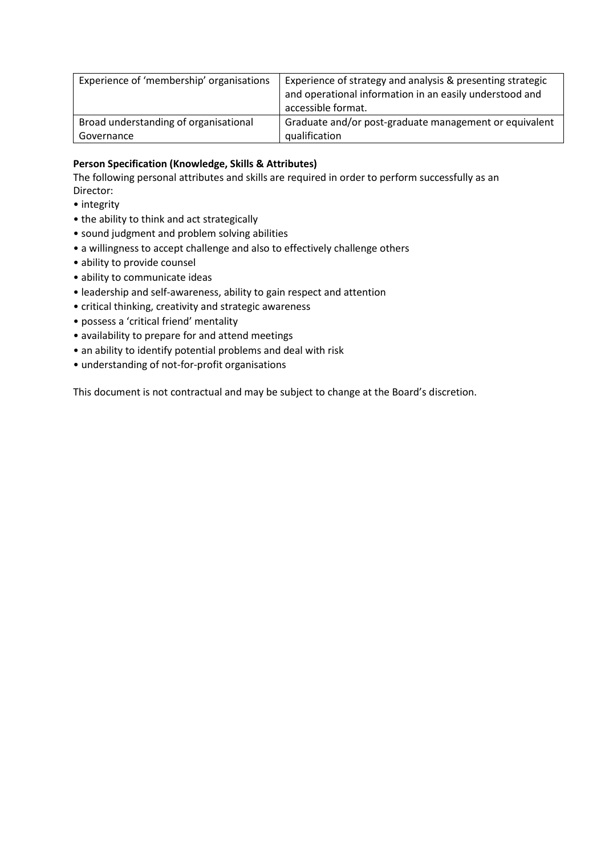| Experience of 'membership' organisations | Experience of strategy and analysis & presenting strategic<br>and operational information in an easily understood and<br>accessible format. |
|------------------------------------------|---------------------------------------------------------------------------------------------------------------------------------------------|
| Broad understanding of organisational    | Graduate and/or post-graduate management or equivalent                                                                                      |
| Governance                               | qualification                                                                                                                               |

# **Person Specification (Knowledge, Skills & Attributes)**

The following personal attributes and skills are required in order to perform successfully as an Director:

- integrity
- the ability to think and act strategically
- sound judgment and problem solving abilities
- a willingness to accept challenge and also to effectively challenge others
- ability to provide counsel
- ability to communicate ideas
- leadership and self-awareness, ability to gain respect and attention
- critical thinking, creativity and strategic awareness
- possess a 'critical friend' mentality
- availability to prepare for and attend meetings
- an ability to identify potential problems and deal with risk
- understanding of not-for-profit organisations

This document is not contractual and may be subject to change at the Board's discretion.